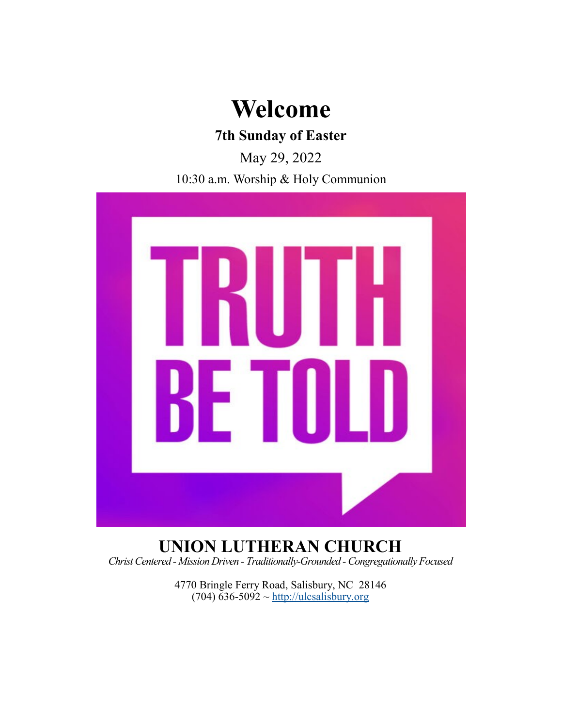# **Welcome**

# **7th Sunday of Easter**

May 29, 2022

10:30 a.m. Worship & Holy Communion



## **UNION LUTHERAN CHURCH** *Christ Centered - Mission Driven - Traditionally-Grounded -Congregationally Focused*

4770 Bringle Ferry Road, Salisbury, NC 28146  $(704)$  636-5092 ~<http://ulcsalisbury.org>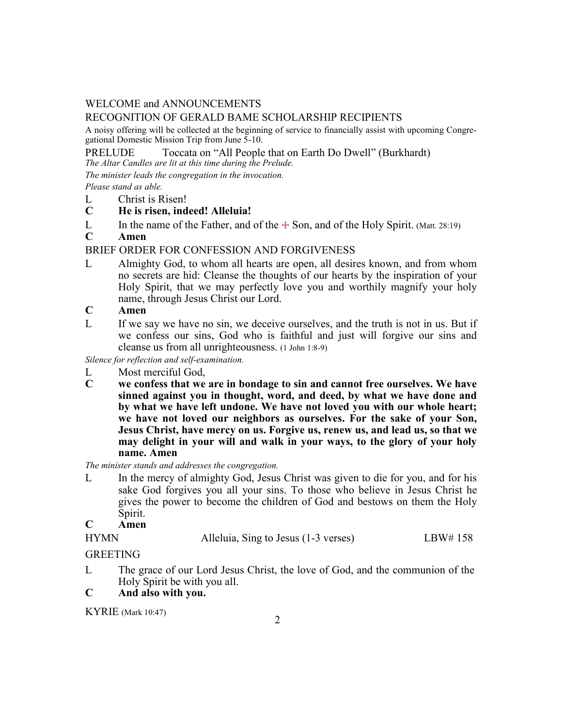## WELCOME and ANNOUNCEMENTS

## RECOGNITION OF GERALD BAME SCHOLARSHIP RECIPIENTS

A noisy offering will be collected at the beginning of service to financially assist with upcoming Congregational Domestic Mission Trip from June 5-10.

PRELUDE Toccata on "All People that on Earth Do Dwell" (Burkhardt)

*The Altar Candles are lit at this time during the Prelude.*

*The minister leads the congregation in the invocation.* 

*Please stand as able.*

- L Christ is Risen!
- **C He is risen, indeed! Alleluia!**
- L In the name of the Father, and of the  $\pm$  Son, and of the Holy Spirit. (Matt. 28:19)

## **C Amen**

## BRIEF ORDER FOR CONFESSION AND FORGIVENESS

- L Almighty God, to whom all hearts are open, all desires known, and from whom no secrets are hid: Cleanse the thoughts of our hearts by the inspiration of your Holy Spirit, that we may perfectly love you and worthily magnify your holy name, through Jesus Christ our Lord.
- **C Amen**
- L If we say we have no sin, we deceive ourselves, and the truth is not in us. But if we confess our sins, God who is faithful and just will forgive our sins and cleanse us from all unrighteousness. (1 John 1:8-9)

*Silence for reflection and self-examination.*

- L Most merciful God,<br> **C** we confess that we
- we confess that we are in bondage to sin and cannot free ourselves. We have **sinned against you in thought, word, and deed, by what we have done and by what we have left undone. We have not loved you with our whole heart; we have not loved our neighbors as ourselves. For the sake of your Son, Jesus Christ, have mercy on us. Forgive us, renew us, and lead us, so that we may delight in your will and walk in your ways, to the glory of your holy name. Amen**

*The minister stands and addresses the congregation.*

L In the mercy of almighty God, Jesus Christ was given to die for you, and for his sake God forgives you all your sins. To those who believe in Jesus Christ he gives the power to become the children of God and bestows on them the Holy Spirit.

## **C Amen**

| HYMN | Alleluia, Sing to Jesus (1-3 verses) | LBW# 158 |
|------|--------------------------------------|----------|
|      |                                      |          |

## GREETING

L The grace of our Lord Jesus Christ, the love of God, and the communion of the Holy Spirit be with you all.

## **C And also with you.**

KYRIE (Mark 10:47)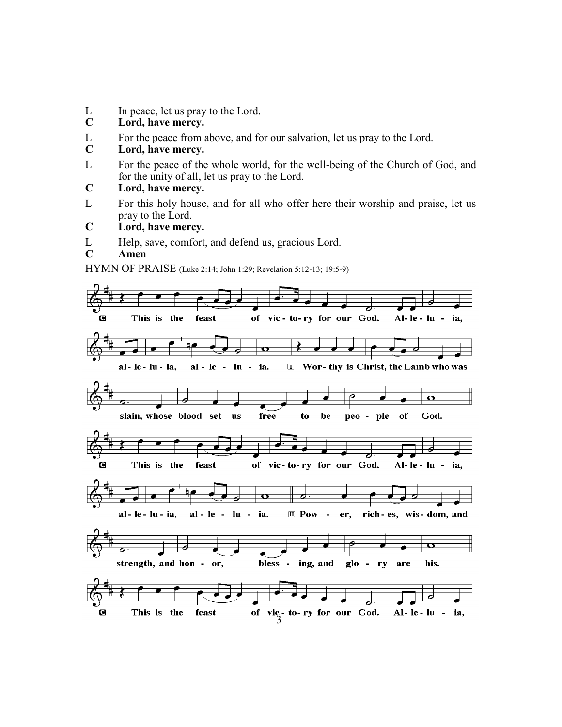- L In peace, let us pray to the Lord.<br>C Lord. have mercy.
- **C Lord, have mercy.**
- L For the peace from above, and for our salvation, let us pray to the Lord.
- **C Lord, have mercy.**
- L For the peace of the whole world, for the well-being of the Church of God, and for the unity of all, let us pray to the Lord.
- **C Lord, have mercy.**
- L For this holy house, and for all who offer here their worship and praise, let us pray to the Lord.
- **C Lord, have mercy.**
- L Help, save, comfort, and defend us, gracious Lord.
- **C Amen**

HYMN OF PRAISE (Luke 2:14; John 1:29; Revelation 5:12-13; 19:5-9)

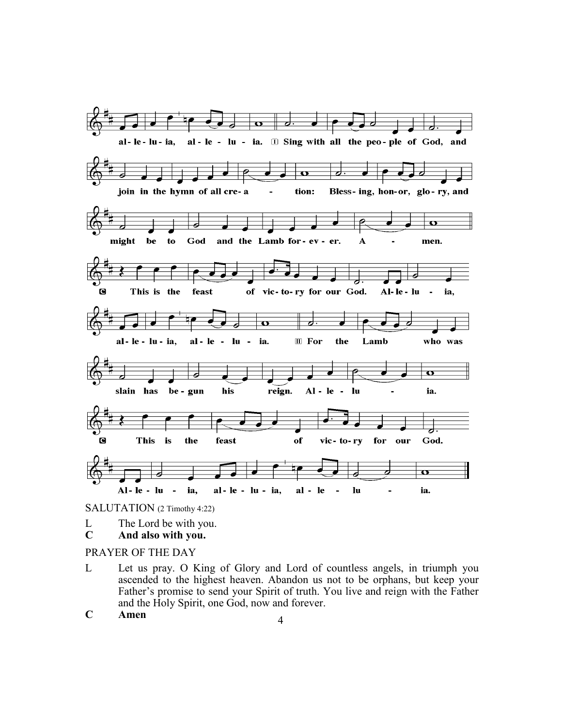

SALUTATION (2 Timothy 4:22)

- L The Lord be with you.
- **C And also with you.**

#### PRAYER OF THE DAY

- L Let us pray. O King of Glory and Lord of countless angels, in triumph you ascended to the highest heaven. Abandon us not to be orphans, but keep your Father's promise to send your Spirit of truth. You live and reign with the Father and the Holy Spirit, one God, now and forever.
- **<sup>C</sup> Amen** <sup>4</sup>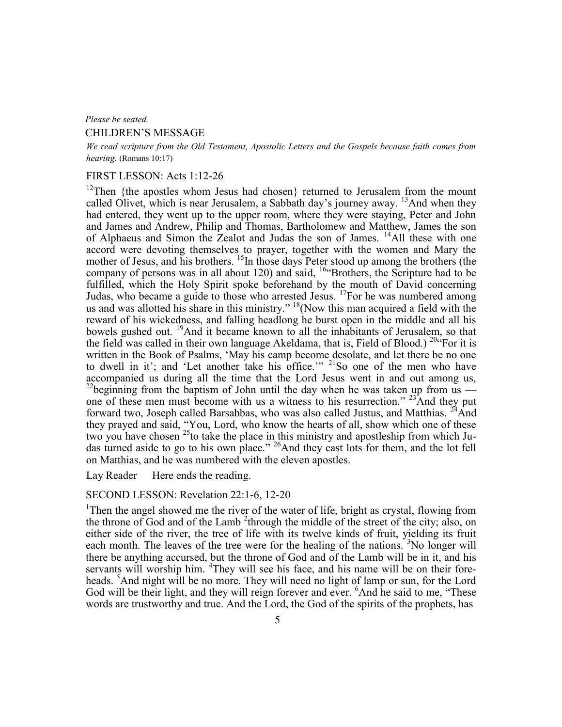#### *Please be seated.*

#### CHILDREN'S MESSAGE

*We read scripture from the Old Testament, Apostolic Letters and the Gospels because faith comes from hearing.* (Romans 10:17)

### FIRST LESSON: Acts 1:12-26

<sup>12</sup>Then {the apostles whom Jesus had chosen} returned to Jerusalem from the mount called Olivet, which is near Jerusalem, a Sabbath day's journey away. <sup>13</sup>And when they had entered, they went up to the upper room, where they were staying, Peter and John and James and Andrew, Philip and Thomas, Bartholomew and Matthew, James the son of Alphaeus and Simon the Zealot and Judas the son of James. <sup>14</sup>All these with one accord were devoting themselves to prayer, together with the women and Mary the mother of Jesus, and his brothers. <sup>15</sup>In those days Peter stood up among the brothers (the company of persons was in all about 120) and said,  $16$  Brothers, the Scripture had to be fulfilled, which the Holy Spirit spoke beforehand by the mouth of David concerning Judas, who became a guide to those who arrested Jesus.  $^{17}$  For he was numbered among us and was allotted his share in this ministry."  $18$ (Now this man acquired a field with the reward of his wickedness, and falling headlong he burst open in the middle and all his bowels gushed out. <sup>19</sup>And it became known to all the inhabitants of Jerusalem, so that the field was called in their own language Akeldama, that is, Field of Blood.) <sup>204</sup> For it is written in the Book of Psalms, 'May his camp become desolate, and let there be no one to dwell in it'; and 'Let another take his office.'" <sup>21</sup>So one of the men who have accompanied us during all the time that the Lord Jesus went in and out among us, <sup>22</sup>beginning from the baptism of John until the day when he was taken up from us  $\overline{ }$ one of these men must become with us a witness to his resurrection."  $23$ And they put forward two, Joseph called Barsabbas, who was also called Justus, and Matthias. <sup>24</sup>And they prayed and said, "You, Lord, who know the hearts of all, show which one of these two you have chosen  $^{25}$  to take the place in this ministry and apostleship from which Judas turned aside to go to his own place." <sup>26</sup>And they cast lots for them, and the lot fell on Matthias, and he was numbered with the eleven apostles.

Lay Reader Here ends the reading.

## SECOND LESSON: Revelation 22:1-6, 12-20

<sup>1</sup>Then the angel showed me the river of the water of life, bright as crystal, flowing from the throne of God and of the Lamb<sup>2</sup> through the middle of the street of the city; also, on either side of the river, the tree of life with its twelve kinds of fruit, yielding its fruit each month. The leaves of the tree were for the healing of the nations.  ${}^{3}$ No longer will there be anything accursed, but the throne of God and of the Lamb will be in it, and his servants will worship him. <sup>4</sup>They will see his face, and his name will be on their foreheads. <sup>5</sup>And night will be no more. They will need no light of lamp or sun, for the Lord God will be their light, and they will reign forever and ever. <sup>6</sup>And he said to me, "These words are trustworthy and true. And the Lord, the God of the spirits of the prophets, has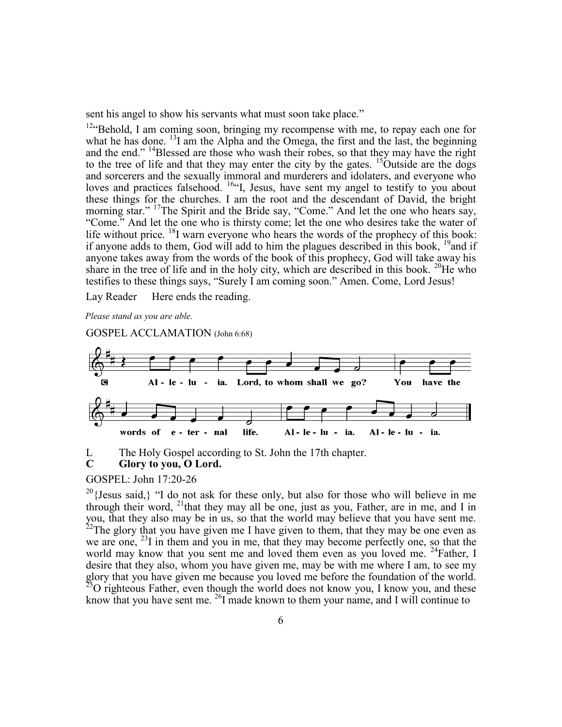sent his angel to show his servants what must soon take place."

 $12$ "Behold, I am coming soon, bringing my recompense with me, to repay each one for what he has done. <sup>13</sup>I am the Alpha and the Omega, the first and the last, the beginning and the end." <sup>14</sup>Blessed are those who wash their robes, so that they may have the right to the tree of life and that they may enter the city by the gates. <sup>15</sup>Outside are the dogs and sorcerers and the sexually immoral and murderers and idolaters, and everyone who loves and practices falsehood. <sup>16"</sup>I, Jesus, have sent my angel to testify to you about these things for the churches. I am the root and the descendant of David, the bright morning star." <sup>17</sup>The Spirit and the Bride say, "Come." And let the one who hears say, "Come." And let the one who is thirsty come; let the one who desires take the water of life without price.  $^{18}$ I warn everyone who hears the words of the prophecy of this book: if anyone adds to them, God will add to him the plagues described in this book,  $19$  and if anyone takes away from the words of the book of this prophecy, God will take away his share in the tree of life and in the holy city, which are described in this book. <sup>20</sup>He who testifies to these things says, "Surely I am coming soon." Amen. Come, Lord Jesus!

Lay Reader Here ends the reading.

*Please stand as you are able.*

GOSPEL ACCLAMATION (John 6:68)



L The Holy Gospel according to St. John the 17th chapter.

## **C Glory to you, O Lord.**

## GOSPEL: John 17:20-26

 $20$ {Jesus said,} "I do not ask for these only, but also for those who will believe in me through their word,  $^{21}$ that they may all be one, just as you, Father, are in me, and I in you, that they also may be in us, so that the world may believe that you have sent me.  $22$ The glory that you have given me I have given to them, that they may be one even as we are one,  $^{23}$ I in them and you in me, that they may become perfectly one, so that the world may know that you sent me and loved them even as you loved me.  $^{24}$ Father, I desire that they also, whom you have given me, may be with me where I am, to see my glory that you have given me because you loved me before the foundation of the world.  $^{25}$ O righteous Father, even though the world does not know you, I know you, and these know that you have sent me. <sup>26</sup>I made known to them your name, and I will continue to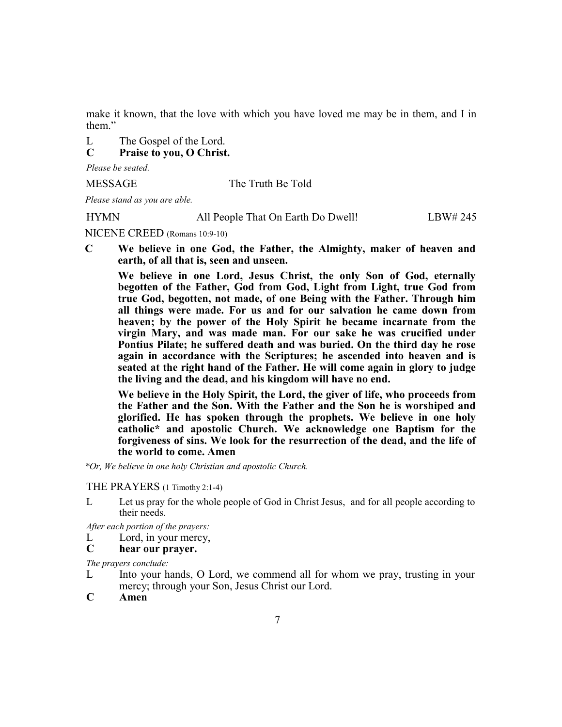make it known, that the love with which you have loved me may be in them, and I in them."

L The Gospel of the Lord.

**C Praise to you, O Christ.**

*Please be seated.* 

MESSAGE The Truth Be Told

*Please stand as you are able.*

HYMN All People That On Earth Do Dwell! LBW# 245

NICENE CREED (Romans 10:9-10)

**C We believe in one God, the Father, the Almighty, maker of heaven and earth, of all that is, seen and unseen.**

**We believe in one Lord, Jesus Christ, the only Son of God, eternally begotten of the Father, God from God, Light from Light, true God from true God, begotten, not made, of one Being with the Father. Through him all things were made. For us and for our salvation he came down from heaven; by the power of the Holy Spirit he became incarnate from the virgin Mary, and was made man. For our sake he was crucified under Pontius Pilate; he suffered death and was buried. On the third day he rose again in accordance with the Scriptures; he ascended into heaven and is seated at the right hand of the Father. He will come again in glory to judge the living and the dead, and his kingdom will have no end.**

**We believe in the Holy Spirit, the Lord, the giver of life, who proceeds from the Father and the Son. With the Father and the Son he is worshiped and glorified. He has spoken through the prophets. We believe in one holy catholic\* and apostolic Church. We acknowledge one Baptism for the forgiveness of sins. We look for the resurrection of the dead, and the life of the world to come. Amen**

*\*Or, We believe in one holy Christian and apostolic Church.*

#### THE PRAYERS (1 Timothy 2:1-4)

L Let us pray for the whole people of God in Christ Jesus, and for all people according to their needs.

*After each portion of the prayers:*

- L Lord, in your mercy,
- **C hear our prayer.**

*The prayers conclude:* 

- L Into your hands, O Lord, we commend all for whom we pray, trusting in your mercy; through your Son, Jesus Christ our Lord.
- **C Amen**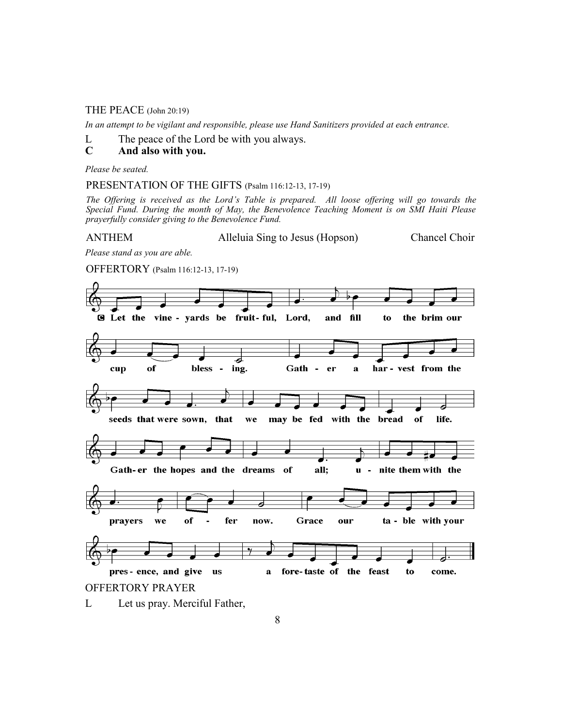#### THE PEACE (John 20:19)

*In an attempt to be vigilant and responsible, please use Hand Sanitizers provided at each entrance.* 

L The peace of the Lord be with you always.

## **C And also with you.**

*Please be seated.*

PRESENTATION OF THE GIFTS (Psalm 116:12-13, 17-19)

*The Offering is received as the Lord's Table is prepared. All loose offering will go towards the Special Fund. During the month of May, the Benevolence Teaching Moment is on SMI Haiti Please prayerfully consider giving to the Benevolence Fund.*

ANTHEM Alleluia Sing to Jesus (Hopson) Chancel Choir

*Please stand as you are able.*

OFFERTORY (Psalm 116:12-13, 17-19)



L Let us pray. Merciful Father,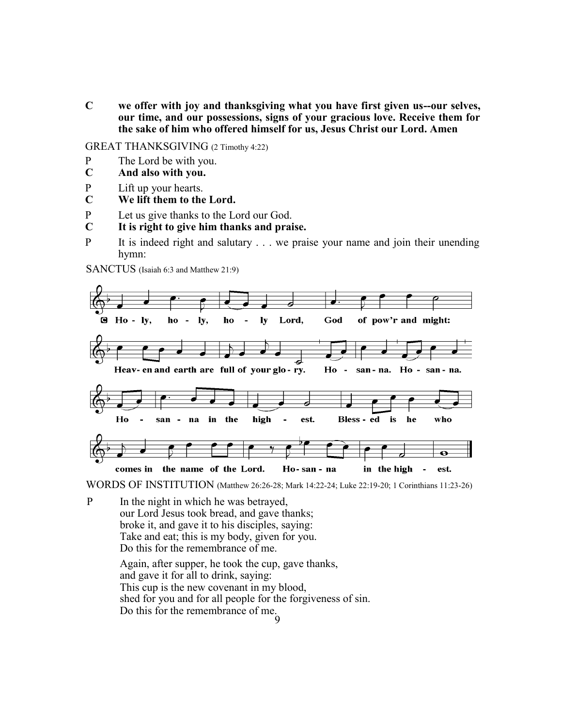**C we offer with joy and thanksgiving what you have first given us--our selves, our time, and our possessions, signs of your gracious love. Receive them for the sake of him who offered himself for us, Jesus Christ our Lord. Amen**

GREAT THANKSGIVING (2 Timothy 4:22)

- P The Lord be with you.<br>C And also with you.
- **C And also with you.**
- P Lift up your hearts.
- **C We lift them to the Lord.**
- P Let us give thanks to the Lord our God.
- **C It is right to give him thanks and praise.**
- P It is indeed right and salutary . . . we praise your name and join their unending hymn:

SANCTUS (Isaiah 6:3 and Matthew 21:9)



WORDS OF INSTITUTION (Matthew 26:26-28; Mark 14:22-24; Luke 22:19-20; 1 Corinthians 11:23-26)

9 P In the night in which he was betrayed, our Lord Jesus took bread, and gave thanks; broke it, and gave it to his disciples, saying: Take and eat; this is my body, given for you. Do this for the remembrance of me. Again, after supper, he took the cup, gave thanks, and gave it for all to drink, saying: This cup is the new covenant in my blood, shed for you and for all people for the forgiveness of sin. Do this for the remembrance of me.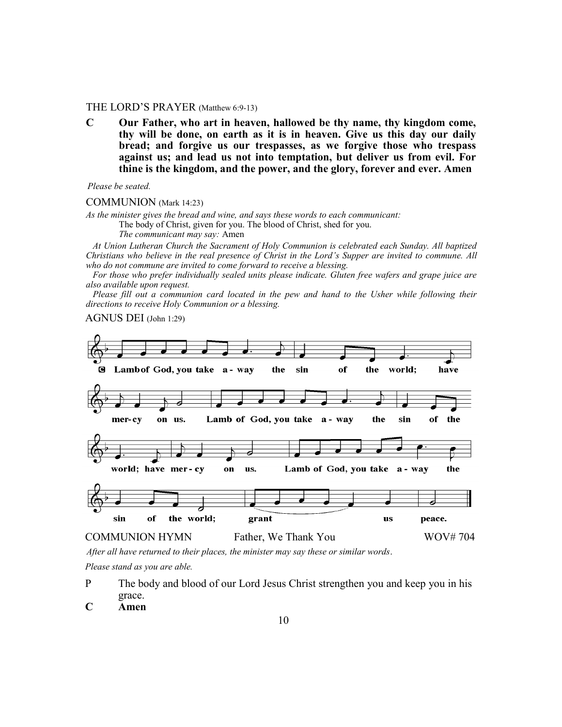#### THE LORD'S PRAYER (Matthew 6:9-13)

**C Our Father, who art in heaven, hallowed be thy name, thy kingdom come, thy will be done, on earth as it is in heaven. Give us this day our daily bread; and forgive us our trespasses, as we forgive those who trespass against us; and lead us not into temptation, but deliver us from evil. For thine is the kingdom, and the power, and the glory, forever and ever. Amen**

*Please be seated.*

COMMUNION (Mark 14:23)

*As the minister gives the bread and wine, and says these words to each communicant:*

The body of Christ, given for you. The blood of Christ, shed for you.

*The communicant may say:* Amen

 *At Union Lutheran Church the Sacrament of Holy Communion is celebrated each Sunday. All baptized Christians who believe in the real presence of Christ in the Lord's Supper are invited to commune. All who do not commune are invited to come forward to receive a blessing.* 

 *For those who prefer individually sealed units please indicate. Gluten free wafers and grape juice are also available upon request.*

 *Please fill out a communion card located in the pew and hand to the Usher while following their directions to receive Holy Communion or a blessing.*

AGNUS DEI (John 1:29)



*After all have returned to their places, the minister may say these or similar words*.

*Please stand as you are able.*

- P The body and blood of our Lord Jesus Christ strengthen you and keep you in his grace.
- **C Amen**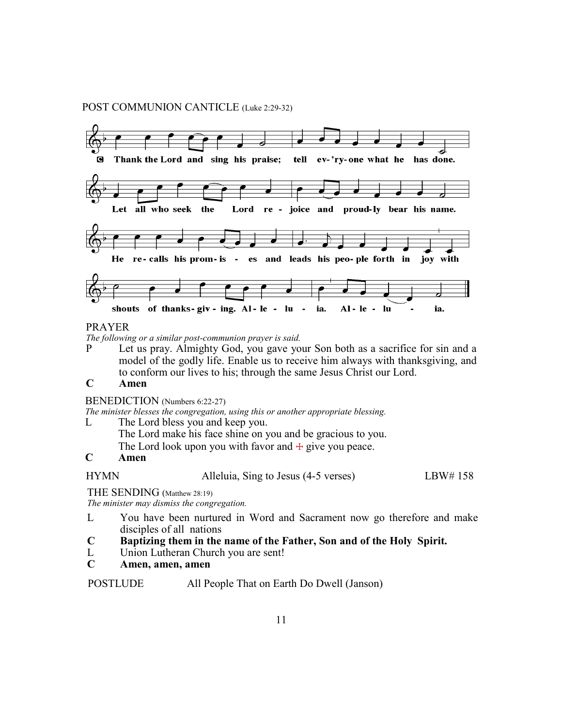#### POST COMMUNION CANTICLE (Luke 2:29-32)



#### PRAYER

*The following or a similar post-communion prayer is said.*

P Let us pray. Almighty God, you gave your Son both as a sacrifice for sin and a model of the godly life. Enable us to receive him always with thanksgiving, and to conform our lives to his; through the same Jesus Christ our Lord.

## **C Amen**

#### BENEDICTION (Numbers 6:22-27)

*The minister blesses the congregation, using this or another appropriate blessing.*

- L The Lord bless you and keep you.
	- The Lord make his face shine on you and be gracious to you.
	- The Lord look upon you with favor and  $+$  give you peace.

### **C Amen**

HYMN Alleluia, Sing to Jesus (4-5 verses) LBW# 158

THE SENDING (Matthew 28:19)

*The minister may dismiss the congregation.*

- L You have been nurtured in Word and Sacrament now go therefore and make disciples of all nations
- **C Baptizing them in the name of the Father, Son and of the Holy Spirit.**
- L Union Lutheran Church you are sent!
- **C Amen, amen, amen**

POSTLUDE All People That on Earth Do Dwell (Janson)